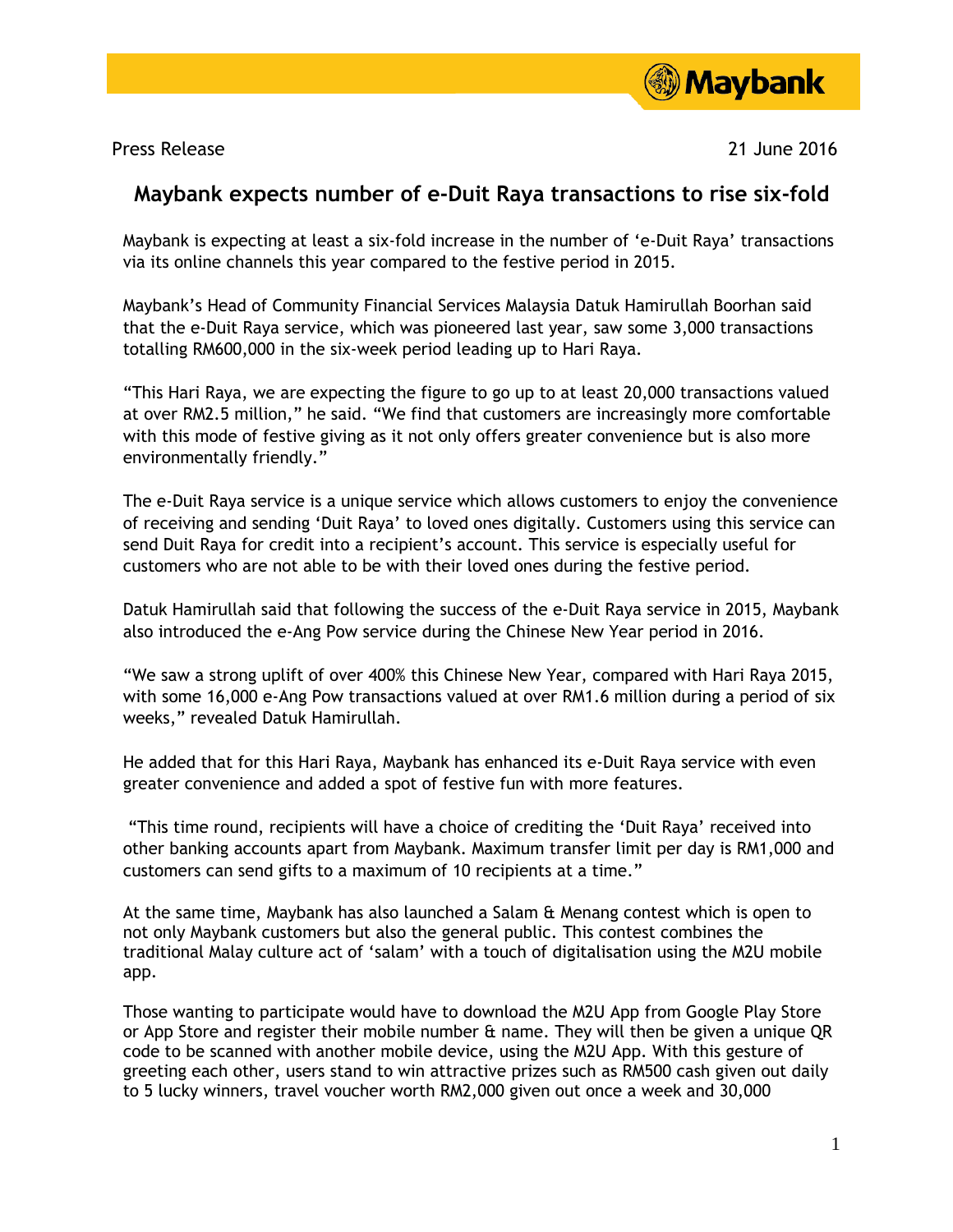

Press Release 21 June 2016

## **Maybank expects number of e-Duit Raya transactions to rise six-fold**

Maybank is expecting at least a six-fold increase in the number of 'e-Duit Raya' transactions via its online channels this year compared to the festive period in 2015.

Maybank's Head of Community Financial Services Malaysia Datuk Hamirullah Boorhan said that the e-Duit Raya service, which was pioneered last year, saw some 3,000 transactions totalling RM600,000 in the six-week period leading up to Hari Raya.

"This Hari Raya, we are expecting the figure to go up to at least 20,000 transactions valued at over RM2.5 million," he said. "We find that customers are increasingly more comfortable with this mode of festive giving as it not only offers greater convenience but is also more environmentally friendly."

The e-Duit Raya service is a unique service which allows customers to enjoy the convenience of receiving and sending 'Duit Raya' to loved ones digitally. Customers using this service can send Duit Raya for credit into a recipient's account. This service is especially useful for customers who are not able to be with their loved ones during the festive period.

Datuk Hamirullah said that following the success of the e-Duit Raya service in 2015, Maybank also introduced the e-Ang Pow service during the Chinese New Year period in 2016.

"We saw a strong uplift of over 400% this Chinese New Year, compared with Hari Raya 2015, with some 16,000 e-Ang Pow transactions valued at over RM1.6 million during a period of six weeks," revealed Datuk Hamirullah.

He added that for this Hari Raya, Maybank has enhanced its e-Duit Raya service with even greater convenience and added a spot of festive fun with more features.

"This time round, recipients will have a choice of crediting the 'Duit Raya' received into other banking accounts apart from Maybank. Maximum transfer limit per day is RM1,000 and customers can send gifts to a maximum of 10 recipients at a time."

At the same time, Maybank has also launched a Salam & Menang contest which is open to not only Maybank customers but also the general public. This contest combines the traditional Malay culture act of 'salam' with a touch of digitalisation using the M2U mobile app.

Those wanting to participate would have to download the M2U App from Google Play Store or App Store and register their mobile number & name. They will then be given a unique QR code to be scanned with another mobile device, using the M2U App. With this gesture of greeting each other, users stand to win attractive prizes such as RM500 cash given out daily to 5 lucky winners, travel voucher worth RM2,000 given out once a week and 30,000